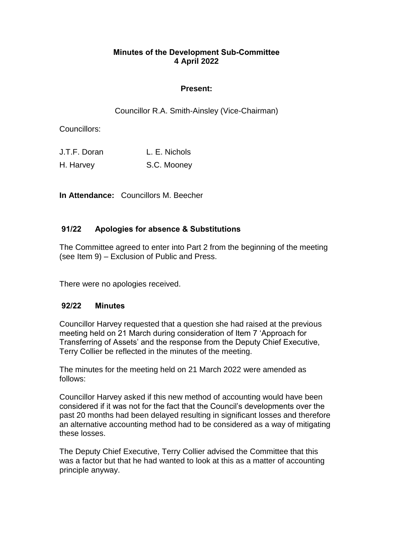### **Minutes of the Development Sub-Committee 4 April 2022**

## **Present:**

Councillor R.A. Smith-Ainsley (Vice-Chairman)

Councillors:

| J.T.F. Doran | L. E. Nichols |
|--------------|---------------|
| H. Harvey    | S.C. Mooney   |

**In Attendance:** Councillors M. Beecher

# **91/22 Apologies for absence & Substitutions**

The Committee agreed to enter into Part 2 from the beginning of the meeting (see Item 9) – Exclusion of Public and Press.

There were no apologies received.

## **92/22 Minutes**

Councillor Harvey requested that a question she had raised at the previous meeting held on 21 March during consideration of Item 7 'Approach for Transferring of Assets' and the response from the Deputy Chief Executive, Terry Collier be reflected in the minutes of the meeting.

The minutes for the meeting held on 21 March 2022 were amended as follows:

Councillor Harvey asked if this new method of accounting would have been considered if it was not for the fact that the Council's developments over the past 20 months had been delayed resulting in significant losses and therefore an alternative accounting method had to be considered as a way of mitigating these losses.

The Deputy Chief Executive, Terry Collier advised the Committee that this was a factor but that he had wanted to look at this as a matter of accounting principle anyway.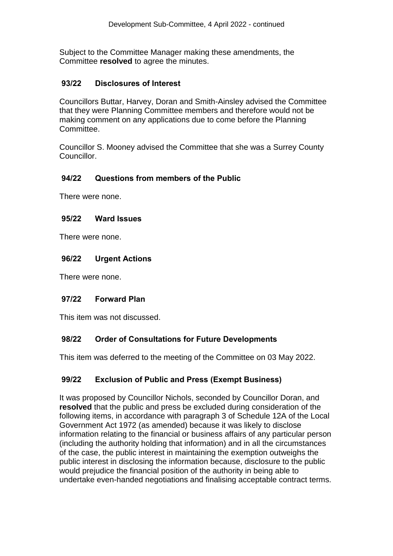Subject to the Committee Manager making these amendments, the Committee **resolved** to agree the minutes.

### **93/22 Disclosures of Interest**

Councillors Buttar, Harvey, Doran and Smith-Ainsley advised the Committee that they were Planning Committee members and therefore would not be making comment on any applications due to come before the Planning Committee.

Councillor S. Mooney advised the Committee that she was a Surrey County Councillor.

### **94/22 Questions from members of the Public**

There were none.

#### **95/22 Ward Issues**

There were none.

#### **96/22 Urgent Actions**

There were none.

#### **97/22 Forward Plan**

This item was not discussed.

## **98/22 Order of Consultations for Future Developments**

This item was deferred to the meeting of the Committee on 03 May 2022.

## **99/22 Exclusion of Public and Press (Exempt Business)**

It was proposed by Councillor Nichols, seconded by Councillor Doran, and **resolved** that the public and press be excluded during consideration of the following items, in accordance with paragraph 3 of Schedule 12A of the Local Government Act 1972 (as amended) because it was likely to disclose information relating to the financial or business affairs of any particular person (including the authority holding that information) and in all the circumstances of the case, the public interest in maintaining the exemption outweighs the public interest in disclosing the information because, disclosure to the public would prejudice the financial position of the authority in being able to undertake even-handed negotiations and finalising acceptable contract terms.